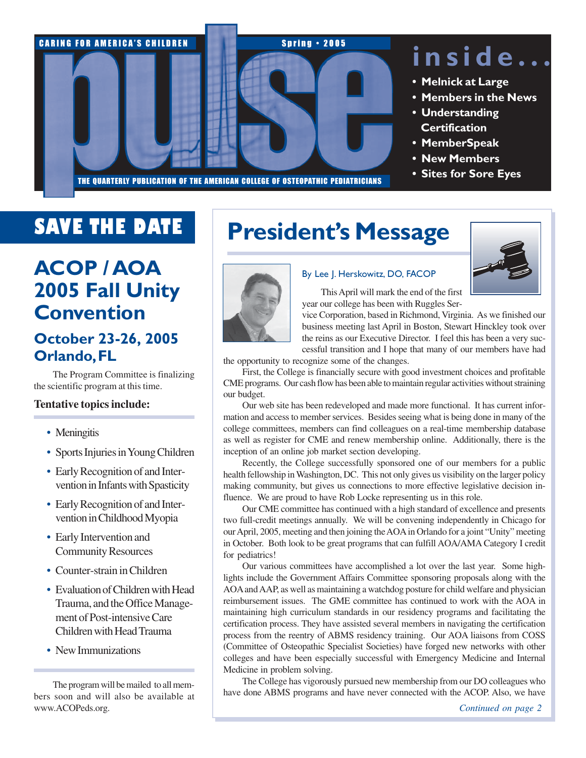

# **inside...**

- **Melnick at Large**
- **Members in the News**
- **Understanding Certification**
- **MemberSpeak**
- **New Members**
- **Sites for Sore Eyes**

# **SAVE THE DATE**

# **ACOP / AOA 2005 Fall Unity Convention**

### **October 23-26, 2005 Orlando, FL**

The Program Committee is finalizing the scientific program at this time.

#### **Tentative topics include:**

- Meningitis
- Sports Injuries in Young Children
- Early Recognition of and Intervention in Infants with Spasticity
- Early Recognition of and Intervention in Childhood Myopia
- Early Intervention and Community Resources
- Counter-strain in Children
- Evaluation of Children with Head Trauma, and the Office Management of Post-intensive Care Children with Head Trauma
- New Immunizations

The program will be mailed to all members soon and will also be available at www.ACOPeds.org.

# **President's Message**



#### By Lee J. Herskowitz, DO, FACOP

This April will mark the end of the first year our college has been with Ruggles Ser-

vice Corporation, based in Richmond, Virginia. As we finished our business meeting last April in Boston, Stewart Hinckley took over the reins as our Executive Director. I feel this has been a very successful transition and I hope that many of our members have had

the opportunity to recognize some of the changes.

First, the College is financially secure with good investment choices and profitable CME programs. Our cash flow has been able to maintain regular activities without straining our budget.

Our web site has been redeveloped and made more functional. It has current information and access to member services. Besides seeing what is being done in many of the college committees, members can find colleagues on a real-time membership database as well as register for CME and renew membership online. Additionally, there is the inception of an online job market section developing.

Recently, the College successfully sponsored one of our members for a public health fellowship in Washington, DC. This not only gives us visibility on the larger policy making community, but gives us connections to more effective legislative decision influence. We are proud to have Rob Locke representing us in this role.

Our CME committee has continued with a high standard of excellence and presents two full-credit meetings annually. We will be convening independently in Chicago for our April, 2005, meeting and then joining the AOA in Orlando for a joint "Unity" meeting in October. Both look to be great programs that can fulfill AOA/AMA Category I credit for pediatrics!

Our various committees have accomplished a lot over the last year. Some highlights include the Government Affairs Committee sponsoring proposals along with the AOA and AAP, as well as maintaining a watchdog posture for child welfare and physician reimbursement issues. The GME committee has continued to work with the AOA in maintaining high curriculum standards in our residency programs and facilitating the certification process. They have assisted several members in navigating the certification process from the reentry of ABMS residency training. Our AOA liaisons from COSS (Committee of Osteopathic Specialist Societies) have forged new networks with other colleges and have been especially successful with Emergency Medicine and Internal Medicine in problem solving.

The College has vigorously pursued new membership from our DO colleagues who have done ABMS programs and have never connected with the ACOP. Also, we have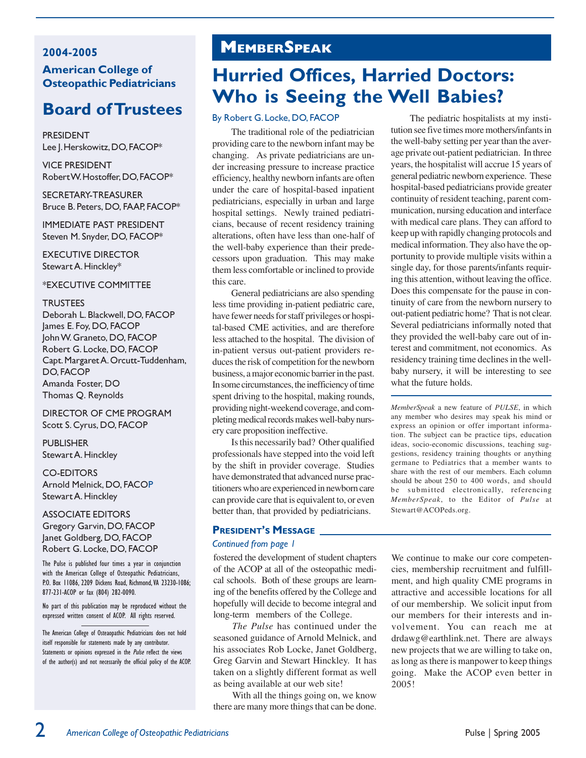#### 2004-2005 American College of Osteopathic Pediatricians

### Board of Trustees

PRESIDENT Lee J. Herskowitz, DO, FACOP\*

VICE PRESIDENT Robert W. Hostoffer, DO, FACOP\*

SECRETARY-TREASURER Bruce B. Peters, DO, FAAP, FACOP\*

IMMEDIATE PAST PRESIDENT Steven M. Snyder, DO, FACOP\*

EXECUTIVE DIRECTOR Stewart A. Hinckley\*

\*EXECUTIVE COMMITTEE

#### **TRUSTEES**

Deborah L. Blackwell, DO, FACOP James E. Foy, DO, FACOP John W. Graneto, DO, FACOP Robert G. Locke, DO, FACOP Capt. Margaret A. Orcutt-Tuddenham, DO, FACOP Amanda Foster, DO Thomas Q. Reynolds

DIRECTOR OF CME PROGRAM Scott S. Cyrus, DO, FACOP

PUBLISHER Stewart A. Hinckley

#### CO-EDITORS

Arnold Melnick, DO, FACOP Stewart A. Hinckley

ASSOCIATE EDITORS Gregory Garvin, DO, FACOP Janet Goldberg, DO, FACOP Robert G. Locke, DO, FACOP

The Pulse is published four times a year in conjunction with the American College of Osteopathic Pediatricians, P.O. Box 11086, 2209 Dickens Road, Richmond, VA 23230-1086; 877-231-ACOP or fax (804) 282-0090.

No part of this publication may be reproduced without the expressed written consent of ACOP. All rights reserved.

The American College of Osteaopathic Pediatricians does not hold itself responsible for statements made by any contributor. Statements or opinions expressed in the *Pulse* reflect the views of the author(s) and not necessarily the official policy of the ACOP.

# MEMBERSPEAK

## **Hurried Offices, Harried Doctors: Who is Seeing the Well Babies?**

#### By Robert G. Locke, DO, FACOP

The traditional role of the pediatrician providing care to the newborn infant may be changing. As private pediatricians are under increasing pressure to increase practice efficiency, healthy newborn infants are often under the care of hospital-based inpatient pediatricians, especially in urban and large hospital settings. Newly trained pediatricians, because of recent residency training alterations, often have less than one-half of the well-baby experience than their predecessors upon graduation. This may make them less comfortable or inclined to provide this care.

General pediatricians are also spending less time providing in-patient pediatric care, have fewer needs for staff privileges or hospital-based CME activities, and are therefore less attached to the hospital. The division of in-patient versus out-patient providers reduces the risk of competition for the newborn business, a major economic barrier in the past. In some circumstances, the inefficiency of time spent driving to the hospital, making rounds, providing night-weekend coverage, and completing medical records makes well-baby nursery care proposition ineffective.

Is this necessarily bad? Other qualified professionals have stepped into the void left by the shift in provider coverage. Studies have demonstrated that advanced nurse practitioners who are experienced in newborn care can provide care that is equivalent to, or even better than, that provided by pediatricians.

#### PRESIDENT'S MESSAGE

#### Continued from page 1

fostered the development of student chapters of the ACOP at all of the osteopathic medical schools. Both of these groups are learning of the benefits offered by the College and hopefully will decide to become integral and long-term members of the College.

*The Pulse* has continued under the seasoned guidance of Arnold Melnick, and his associates Rob Locke, Janet Goldberg, Greg Garvin and Stewart Hinckley. It has taken on a slightly different format as well as being available at our web site!

With all the things going on, we know there are many more things that can be done.

The pediatric hospitalists at my institution see five times more mothers/infants in the well-baby setting per year than the average private out-patient pediatrician. In three years, the hospitalist will accrue 15 years of general pediatric newborn experience. These hospital-based pediatricians provide greater continuity of resident teaching, parent communication, nursing education and interface with medical care plans. They can afford to keep up with rapidly changing protocols and medical information. They also have the opportunity to provide multiple visits within a single day, for those parents/infants requiring this attention, without leaving the office. Does this compensate for the pause in continuity of care from the newborn nursery to out-patient pediatric home? That is not clear. Several pediatricians informally noted that they provided the well-baby care out of interest and commitment, not economics. As residency training time declines in the wellbaby nursery, it will be interesting to see what the future holds.

*MemberSpeak* a new feature of *PULSE*, in which any member who desires may speak his mind or express an opinion or offer important information. The subject can be practice tips, education ideas, socio-economic discussions, teaching suggestions, residency training thoughts or anything germane to Pediatrics that a member wants to share with the rest of our members. Each column should be about 250 to 400 words, and should be submitted electronically, referencing *MemberSpeak*, to the Editor of *Pulse* at Stewart@ACOPeds.org.

We continue to make our core competencies, membership recruitment and fulfillment, and high quality CME programs in attractive and accessible locations for all of our membership. We solicit input from our members for their interests and involvement. You can reach me at drdawg@earthlink.net. There are always new projects that we are willing to take on, as long as there is manpower to keep things going. Make the ACOP even better in 2005!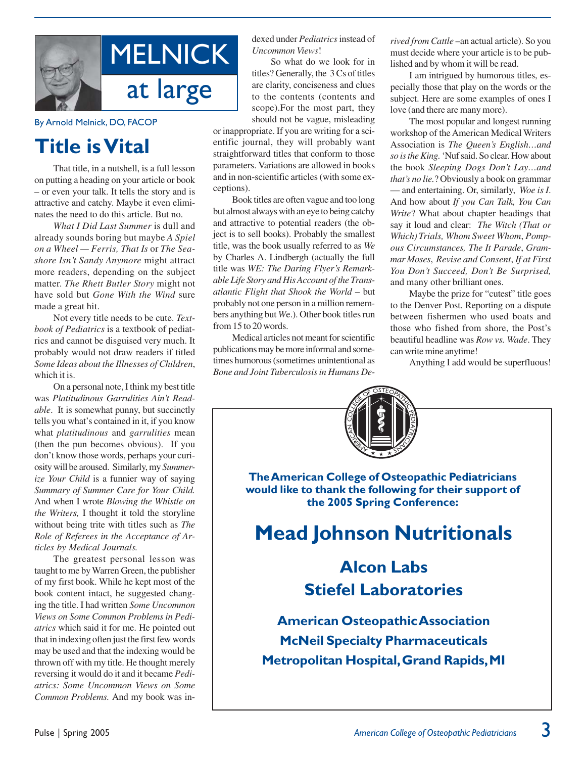

By Arnold Melnick, DO, FACOP

## **Title is Vital**

That title, in a nutshell, is a full lesson on putting a heading on your article or book – or even your talk. It tells the story and is attractive and catchy. Maybe it even eliminates the need to do this article. But no.

*What I Did Last Summer* is dull and already sounds boring but maybe *A Spiel on a Wheel — Ferris, That Is* or *The Seashore Isn't Sandy Anymore* might attract more readers, depending on the subject matter. *The Rhett Butler Story* might not have sold but *Gone With the Wind* sure made a great hit.

Not every title needs to be cute. *Textbook of Pediatrics* is a textbook of pediatrics and cannot be disguised very much. It probably would not draw readers if titled *Some Ideas about the Illnesses of Children*, which it is.

On a personal note, I think my best title was *Platitudinous Garrulities Ain't Readable*. It is somewhat punny, but succinctly tells you what's contained in it, if you know what *platitudinous* and *garrulities* mean (then the pun becomes obvious). If you don't know those words, perhaps your curiosity will be aroused. Similarly, my *Summerize Your Child* is a funnier way of saying *Summary of Summer Care for Your Child.* And when I wrote *Blowing the Whistle on the Writers,* I thought it told the storyline without being trite with titles such as *The Role of Referees in the Acceptance of Articles by Medical Journals.*

The greatest personal lesson was taught to me by Warren Green, the publisher of my first book. While he kept most of the book content intact, he suggested changing the title. I had written *Some Uncommon Views on Some Common Problems in Pediatrics* which said it for me. He pointed out that in indexing often just the first few words may be used and that the indexing would be thrown off with my title. He thought merely reversing it would do it and it became *Pediatrics: Some Uncommon Views on Some Common Problems.* And my book was indexed under *Pediatrics* instead of *Uncommon Views*!

So what do we look for in titles? Generally, the 3 Cs of titles are clarity, conciseness and clues to the contents (contents and scope).For the most part, they should not be vague, misleading

or inappropriate. If you are writing for a scientific journal, they will probably want straightforward titles that conform to those parameters. Variations are allowed in books and in non-scientific articles (with some exceptions).

Book titles are often vague and too long but almost always with an eye to being catchy and attractive to potential readers (the object is to sell books). Probably the smallest title, was the book usually referred to as *We* by Charles A. Lindbergh (actually the full title was *WE: The Daring Flyer's Remarkable Life Story and His Account of the Transatlantic Flight that Shook the World* – but probably not one person in a million remembers anything but *W*e.). Other book titles run from 15 to 20 words.

Medical articles not meant for scientific publications may be more informal and sometimes humorous (sometimes unintentional as *Bone and Joint Tuberculosis in Humans De-* *rived from Cattle* –an actual article). So you must decide where your article is to be published and by whom it will be read.

I am intrigued by humorous titles, especially those that play on the words or the subject. Here are some examples of ones I love (and there are many more).

The most popular and longest running workshop of the American Medical Writers Association is *The Queen's English…and so is the King.* 'Nuf said. So clear. How about the book *Sleeping Dogs Don't Lay…and that's no lie.*? Obviously a book on grammar — and entertaining. Or, similarly, *Woe is I*. And how about *If you Can Talk, You Can Write*? What about chapter headings that say it loud and clear: *The Witch (That or Which) Trials, Whom Sweet Whom*, *Pompous Circumstances, The It Parade*, *Grammar Moses*, *Revise and Consent*, *If at First You Don't Succeed, Don't Be Surprised,* and many other brilliant ones.

Maybe the prize for "cutest" title goes to the Denver Post. Reporting on a dispute between fishermen who used boats and those who fished from shore, the Post's beautiful headline was *Row vs. Wade*. They can write mine anytime!

Anything I add would be superfluous!

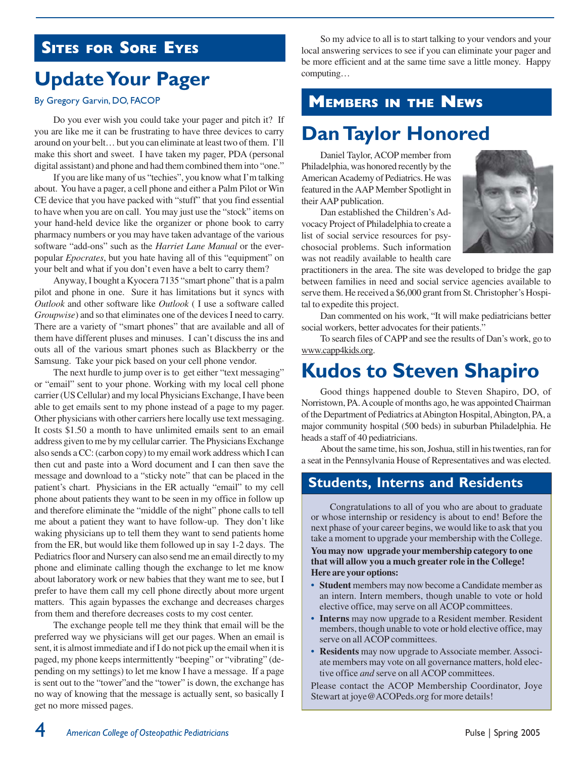### **SITES FOR SORE EYES**

# **Update Your Pager**

#### By Gregory Garvin, DO, FACOP

Do you ever wish you could take your pager and pitch it? If you are like me it can be frustrating to have three devices to carry around on your belt… but you can eliminate at least two of them. I'll make this short and sweet. I have taken my pager, PDA (personal digital assistant) and phone and had them combined them into "one."

If you are like many of us "techies", you know what I'm talking about. You have a pager, a cell phone and either a Palm Pilot or Win CE device that you have packed with "stuff" that you find essential to have when you are on call. You may just use the "stock" items on your hand-held device like the organizer or phone book to carry pharmacy numbers or you may have taken advantage of the various software "add-ons" such as the *Harriet Lane Manual* or the everpopular *Epocrates*, but you hate having all of this "equipment" on your belt and what if you don't even have a belt to carry them?

Anyway, I bought a Kyocera 7135 "smart phone" that is a palm pilot and phone in one. Sure it has limitations but it syncs with *Outlook* and other software like *Outlook* ( I use a software called *Groupwise*) and so that eliminates one of the devices I need to carry. There are a variety of "smart phones" that are available and all of them have different pluses and minuses. I can't discuss the ins and outs all of the various smart phones such as Blackberry or the Samsung. Take your pick based on your cell phone vendor.

The next hurdle to jump over is to get either "text messaging" or "email" sent to your phone. Working with my local cell phone carrier (US Cellular) and my local Physicians Exchange, I have been able to get emails sent to my phone instead of a page to my pager. Other physicians with other carriers here locally use text messaging. It costs \$1.50 a month to have unlimited emails sent to an email address given to me by my cellular carrier. The Physicians Exchange also sends a CC: (carbon copy) to my email work address which I can then cut and paste into a Word document and I can then save the message and download to a "sticky note" that can be placed in the patient's chart. Physicians in the ER actually "email" to my cell phone about patients they want to be seen in my office in follow up and therefore eliminate the "middle of the night" phone calls to tell me about a patient they want to have follow-up. They don't like waking physicians up to tell them they want to send patients home from the ER, but would like them followed up in say 1-2 days. The Pediatrics floor and Nursery can also send me an email directly to my phone and eliminate calling though the exchange to let me know about laboratory work or new babies that they want me to see, but I prefer to have them call my cell phone directly about more urgent matters. This again bypasses the exchange and decreases charges from them and therefore decreases costs to my cost center.

The exchange people tell me they think that email will be the preferred way we physicians will get our pages. When an email is sent, it is almost immediate and if I do not pick up the email when it is paged, my phone keeps intermittently "beeping" or "vibrating" (depending on my settings) to let me know I have a message. If a page is sent out to the "tower"and the "tower" is down, the exchange has no way of knowing that the message is actually sent, so basically I get no more missed pages.

So my advice to all is to start talking to your vendors and your local answering services to see if you can eliminate your pager and be more efficient and at the same time save a little money. Happy computing…

# **MEMBERS IN THE NEWS**

### **Dan Taylor Honored**

Daniel Taylor, ACOP member from Philadelphia, was honored recently by the American Academy of Pediatrics. He was featured in the AAP Member Spotlight in their AAP publication.

Dan established the Children's Advocacy Project of Philadelphia to create a list of social service resources for psychosocial problems. Such information was not readily available to health care



practitioners in the area. The site was developed to bridge the gap between families in need and social service agencies available to serve them. He received a \$6,000 grant from St. Christopher's Hospital to expedite this project.

Dan commented on his work, "It will make pediatricians better social workers, better advocates for their patients."

To search files of CAPP and see the results of Dan's work, go to www.capp4kids.org.

## **Kudos to Steven Shapiro**

Good things happened double to Steven Shapiro, DO, of Norristown, PA. A couple of months ago, he was appointed Chairman of the Department of Pediatrics at Abington Hospital, Abington, PA, a major community hospital (500 beds) in suburban Philadelphia. He heads a staff of 40 pediatricians.

About the same time, his son, Joshua, still in his twenties, ran for a seat in the Pennsylvania House of Representatives and was elected.

### **Students, Interns and Residents**

Congratulations to all of you who are about to graduate or whose internship or residency is about to end! Before the next phase of your career begins, we would like to ask that you take a moment to upgrade your membership with the College.

**You may now upgrade your membership category to one that will allow you a much greater role in the College! Here are your options:**

- **• Student** members may now become a Candidate member as an intern. Intern members, though unable to vote or hold elective office, may serve on all ACOP committees.
- **Interns** may now upgrade to a Resident member. Resident members, though unable to vote or hold elective office, may serve on all ACOP committees.
- **• Residents** may now upgrade to Associate member. Associate members may vote on all governance matters, hold elective office *and* serve on all ACOP committees.

Please contact the ACOP Membership Coordinator, Joye Stewart at joye@ACOPeds.org for more details!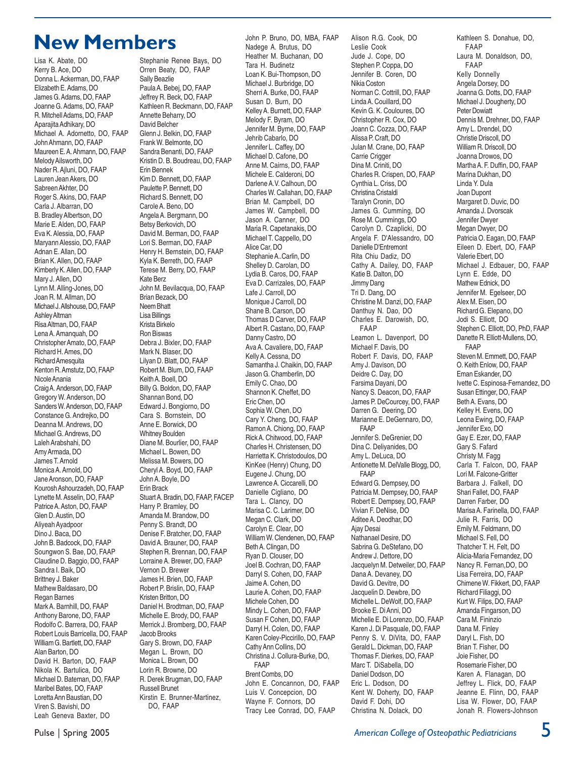## **New Members**

Lisa K. Abate, DO Kerry B. Ace, DO Donna L. Ackerman, DO, FAAP Elizabeth E. Adams, DO James G. Adams, DO, FAAP Joanne G. Adams, DO, FAAP R. Mitchell Adams, DO, FAAP Aparajita Adhikary, DO Michael A. Adornetto, DO, FAAP John Ahmann, DO, FAAP Maureen E. A. Ahmann, DO, FAAP Melody Ailsworth, DO Nader R. Ajluni, DO, FAAP Lauren Jean Akers, DO Sahreen Akhter, DO Roger S. Akins, DO, FAAP Carla J. Albarran, DO B. Bradley Albertson, DO Marie E. Alden, DO, FAAP Eva K. Alessia, DO, FAAP Maryann Alessio, DO, FAAP Adnan E. Allan, DO Brian K. Allen, DO, FAAP Kimberly K. Allen, DO, FAAP Mary J. Allen, DO Lynn M. Alling-Jones, DO Joan R. M. Allman, DO Michael J. Allshouse, DO, FAAP Ashley Altman Risa Altman, DO, FAAP Lena A. Amanquah, DO Christopher Amato, DO, FAAP Richard H. Ames, DO Richard Amesquita Kenton R. Amstutz, DO, FAAP Nicole Anania Craig A. Anderson, DO, FAAP Gregory W. Anderson, DO Sanders W. Anderson, DO, FAAP Constance G. Andrejko, DO Deanna M. Andrews, DO Michael G. Andrews, DO Laleh Arabshahi, DO Amy Armada, DO James T. Arnold Monica A. Arnold, DO Jane Aronson, DO, FAAP Kourosh Ashourzadeh, DO, FAAP Lynette M. Asselin, DO, FAAP Patrice A. Aston, DO, FAAP Glen D. Austin, DO Aliyeah Ayadpoor Dino J. Baca, DO John B. Badcock, DO, FAAP Soungwon S. Bae, DO, FAAP Claudine D. Baggio, DO, FAAP Sandra I. Baik, DO Brittney J. Baker Mathew Baldasaro, DO Regan Barnes Mark A. Barnhill, DO, FAAP Anthony Barone, DO, FAAP Rodolfo C. Barrera, DO, FAAP Robert Louis Barricella, DO, FAAP William G. Bartlett, DO, FAAP Alan Barton, DO David H. Barton, DO, FAAP Nikola K. Bartulica, DO Michael D. Bateman, DO, FAAP Maribel Bates, DO, FAAP Loretta Ann Baustian, DO Viren S. Bavishi, DO Leah Geneva Baxter, DO

Stephanie Renee Bays, DO Orren Beaty, DO, FAAP Sally Beazlie Paula A. Bebej, DO, FAAP Jeffrey R. Beck, DO, FAAP Kathleen R. Beckmann, DO, FAAP Annette Beharry, DO David Belcher Glenn J. Belkin, DO, FAAP Frank W. Belmonte, DO Sandra Benanti, DO, FAAP Kristin D. B. Boudreau, DO, FAAP Erin Bennek Kim D. Bennett, DO, FAAP Paulette P. Bennett, DO Richard S. Bennett, DO Carole A. Beno, DO Angela A. Bergmann, DO Betsy Berkovich, DO David M. Berman, DO, FAAP Lori S. Berman, DO, FAAP Henry H. Bernstein, DO, FAAP Kyla K. Berreth, DO, FAAP Terese M. Berry, DO, FAAP Kate Berz John M. Bevilacqua, DO, FAAP Brian Bezack, DO Neem Bhatt Lisa Billings Krista Birkelo Ron Biswas Debra J. Bixler, DO, FAAP Mark N. Blaser, DO Lilyan D. Blatt, DO, FAAP Robert M. Blum, DO, FAAP Keith A. Boell, DO Billy G. Boldon, DO, FAAP Shannan Bond, DO Edward J. Bongiorno, DO Cara S. Bornstein, DO Anne E. Borwick, DO Whitney Boulden Diane M. Bourlier, DO, FAAP Michael L. Bowen, DO Melissa M. Bowers, DO Cheryl A. Boyd, DO, FAAP John A. Boyle, DO Erin Brack Stuart A. Bradin, DO, FAAP, FACEP Harry P. Bramley, DO Amanda M. Brandow, DO Penny S. Brandt, DO Denise F. Bratcher, DO, FAAP David A. Brauner, DO, FAAP Stephen R. Brennan, DO, FAAP Lorraine A. Brewer, DO, FAAP Vernon D. Brewer James H. Brien, DO, FAAP Robert P. Brislin, DO, FAAP Kristen Britton, DO Daniel H. Brodtman, DO, FAAP Michelle E. Brody, DO, FAAP Merrick J. Bromberg, DO, FAAP Jacob Brooks Gary S. Brown, DO, FAAP Megan L. Brown, DO Monica L. Brown, DO Lorin R. Browne, DO R. Derek Brugman, DO, FAAP Russell Brunet Kirstin E. Brunner-Martinez, DO, FAAP

John P. Bruno, DO, MBA, FAAP Nadege A. Brutus, DO Heather M. Buchanan, DO Tara H. Budinetz Loan K. Bui-Thompson, DO Michael J. Burbridge, DO Sherri A. Burke, DO, FAAP Susan D. Burn, DO Kelley A. Burnett, DO, FAAP Melody F. Byram, DO Jennifer M. Byrne, DO, FAAP Jehrib Cabarlo, DO Jennifer L. Caffey, DO Michael D. Cafone, DO Anne M. Cairns, DO, FAAP Michele E. Calderoni, DO Darlene A.V. Calhoun, DO Charles W. Callahan, DO, FAAP Brian M. Campbell, DO James W. Campbell, DO Jason A. Canner, DO Maria R. Capetanakis, DO Michael T. Cappello, DO Alice Car, DO Stephanie A..Carlin, DO Shelley D. Carolan, DO Lydia B. Caros, DO, FAAP Eva D. Carrizales, DO, FAAP Lafe J. Carroll, DO Monique J Carroll, DO Shane B. Carson, DO Thomas D Carver, DO, FAAP Albert R. Castano, DO, FAAP Danny Castro, DO Ava A. Cavaliere, DO, FAAP Kelly A. Cessna, DO Samantha J. Chaikin, DO, FAAP Jason G. Chamberlin, DO Emily C. Chao, DO Shannon K. Cheffet, DO Eric Chen, DO Sophia W. Chen, DO Cary Y. Cheng, DO, FAAP Ramon A. Chiong, DO, FAAP Rick A. Chitwood, DO, FAAP Charles H. Christensen, DO Harrietta K. Christodoulos, DO KinKee (Henry) Chung, DO Eugene J. Chung, DO Lawrence A. Ciccarelli, DO Danielle Cigliano, DO Tara L. Clancy, DO Marisa C. C. Larimer, DO Megan C. Clark, DO Carolyn E. Clear, DO William W. Clendenen, DO, FAAP Beth A. Clingan, DO Ryan D. Clouser, DO Joel B. Cochran, DO, FAAP Darryl S. Cohen, DO, FAAP Jaime A. Cohen, DO Laurie A. Cohen, DO, FAAP Michele Cohen, DO Mindy L. Cohen, DO, FAAP Susan F Cohen, DO, FAAP Darryl H. Colen, DO, FAAP Karen Coley-Piccirillo, DO, FAAP Cathy Ann Collins, DO Christina J. Collura-Burke, DO, FAAP Brent Combs, DO John E. Concannon, DO, FAAP Luis V. Concepcion, DO Wayne F. Connors, DO Tracy Lee Conrad, DO, FAAP

Alison R.G. Cook, DO Leslie Cook Jude J. Cope, DO Stephen P. Coppa, DO Jennifer B. Coren, DO Nikia Coston Norman C. Cottrill, DO, FAAP Linda A. Couillard, DO Kevin G. K. Couloures, DO Christopher R. Cox, DO Joann C. Cozza, DO, FAAP Alissa P. Craft, DO Julan M. Crane, DO, FAAP Carrie Crigger Dina M. Criniti, DO Charles R. Crispen, DO, FAAP Cynthia L. Criss, DO Christina Cristaldi Taralyn Cronin, DO James G. Cumming, DO Rose M. Cummings, DO Carolyn D. Czaplicki, DO Angela F. D'Alessandro, DO Danielle D'Entremont Rita Chiu Dadiz, DO Cathy A. Dailey, DO, FAAP Katie B. Dalton, DO Jimmy Dang Tri D. Dang, DO Christine M. Danzi, DO, FAAP Danthuy N. Dao, DO Charles E. Darowish, DO, FAAP Leamon L. Davenport, DO Michael F. Davis, DO Robert F. Davis, DO, FAAP Amy J. Davison, DO Deidre C. Day, DO Farsima Dayani, DO Nancy S. Deacon, DO, FAAP James P. DeCourcey, DO, FAAP Darren G. Deering, DO Marianne E. DeGennaro, DO, FAAP Jennifer S. DeGrenier, DO Dina C. Deliyanides, DO Amy L. DeLuca, DO Antionette M. DelValle Blogg, DO, FAAP Edward G. Dempsey, DO Patricia M. Dempsey, DO, FAAP Robert E. Dempsey, DO, FAAP Vivian F. DeNise, DO Aditee A. Deodhar, DO Ajay Desai Nathanael Desire, DO Sabrina G. DeStefano, DO Andrew J. Dettore, DO Jacquelyn M. Detweiler, DO, FAAP Dana A. Devaney, DO David G. Devitre, DO Jacquelin D. Dewbre, DO Michelle L. DeWolf, DO, FAAP Brooke E. Di Anni, DO Michelle E. Di Lorenzo, DO, FAAP Karen J. Di Pasquale, DO, FAAP Penny S. V. DiVita, DO, FAAP Gerald L. Dickman, DO, FAAP Thomas F. Dierkes, DO, FAAP Marc T. DiSabella, DO Daniel Dodson, DO Eric L. Dodson, DO Kent W. Doherty, DO, FAAP David F. Dohi, DO Christina N. Dolack, DO

Kathleen S. Donahue, DO, FAAP Laura M. Donaldson, DO, FAAP Kelly Donnelly Angela Dorsey, DO Joanna G. Dotts, DO, FAAP Michael J. Dougherty, DO Peter Dowiatt Dennis M. Drehner, DO, FAAP Amy L. Drendel, DO Christie Driscoll, DO William R. Driscoll, DO Joanna Drowos, DO Martha A. F. Duffin, DO, FAAP Marina Dukhan, DO Linda Y. Dula Joan Dupont Margaret D. Duvic, DO Amanda J. Dvorscak Jennifer Dwyer Megan Dwyer, DO Patricia O. Eagan, DO, FAAP Eileen D. Ebert, DO, FAAP Valerie Ebert, DO Michael J. Edbauer, DO, FAAP Lynn E. Edde, DO Mathew Ednick, DO Jennifer M. Egelseer, DO Alex M. Eisen, DO Richard G. Elepano, DO Jodi S. Elliott, DO Stephen C. Elliott, DO, PhD, FAAP Danette R. Elliott-Mullens, DO, FAAP Steven M. Emmett, DO, FAAP O. Keith Enlow, DO, FAAP Eman Eskander, DO Ivette C. Espinosa-Fernandez, DO Susan Ettinger, DO, FAAP Beth A. Evans, DO Kelley H. Evens, DO Leona Ewing, DO, FAAP Jennifer Exo, DO Gay E. Ezer, DO, FAAP Gary S. Fafard Christy M. Fagg Carla T. Falcon, DO, FAAP Lori M. Falcone-Gritter Barbara J. Falkell, DO Shari Fallet, DO, FAAP Darren Farber, DO Marisa A. Farinella, DO, FAAP Julie R. Farris, DO Emily M. Feldmann, DO Michael S. Fell, DO Thatcher T. H. Felt, DO Alicia-Maria Fernandez, DO Nancy R. Fernan,DO, DO Lisa Ferreira, DO, FAAP Chimene W. Fikkert, DO, FAAP Richard Filiaggi, DO Kurt W. Filips, DO, FAAP Amanda Fingarson, DO Cara M. Fininzio Dana M. Finley Daryl L. Fish, DO Brian T. Fisher, DO Joie Fisher, DO Rosemarie Fisher, DO Karen A. Flanagan, DO Jeffrey L. Flick, DO, FAAP Jeanne E. Flinn, DO, FAAP Lisa W. Flower, DO, FAAP Jonah R. Flowers-Johnson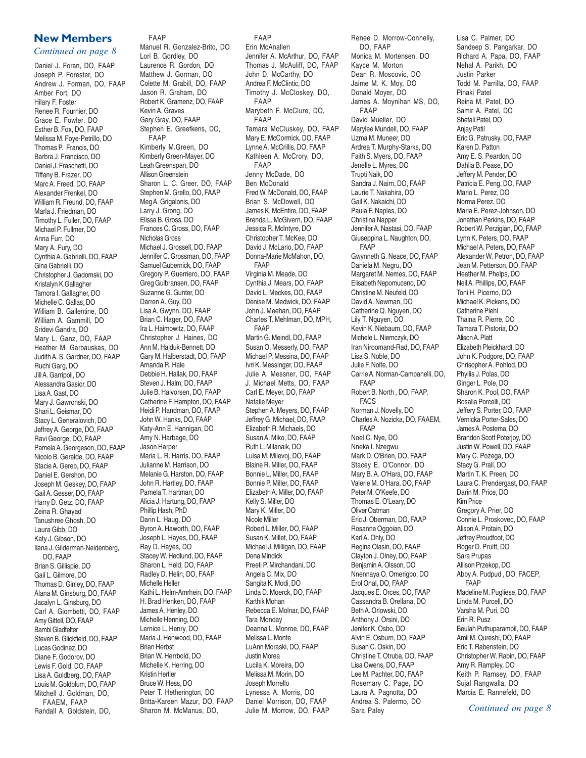#### **New Members**

#### *Continued on page 8*

Daniel J. Foran, DO, FAAP Joseph P. Forester, DO Andrew J. Forman, DO, FAAP Amber Fort, DO Hilary F. Foster Renee R. Fournier, DO Grace E. Fowler, DO Esther B. Fox, DO, FAAP Melissa M. Foye-Petrillo, DO Thomas P. Francis, DO Barbra J. Francisco, DO Daniel J. Fraschetti, DO Tiffany B. Frazer, DO Marc A. Freed, DO, FAAP Alexander Frenkel, DO William R. Freund, DO, FAAP Marla J. Friedman, DO Timothy L. Fuller, DO, FAAP Michael P. Fullmer, DO Anna Furr, DO Mary A. Fury, DO Cynthia A. Gabrielli, DO, FAAP Gina Gabrielli, DO Christopher J. Gadomski, DO Kristalyn K.Gallagher Tamora I. Gallagher, DO Michelle C. Gallas, DO William B. Gallentine, DO William A. Gammill, DO Sridevi Gandra, DO Mary L. Ganz, DO, FAAP Heather M. Garbauskas, DO Judith A. S. Gardner, DO, FAAP Ruchi Garg, DO Jill A. Garripoli, DO Alessandra Gasior, DO Lisa A. Gast, DO Mary J. Gawronski, DO Shari L. Geismar, DO Stacy L. Generalovich, DO Jeffrey A. George, DO, FAAP Ravi George, DO, FAAP Pamela A. Georgeson, DO, FAAP Nicolo B. Geralde, DO, FAAP Stacie A. Gereb, DO, FAAP Daniel E. Gershon, DO Joseph M. Geskey, DO, FAAP Gail A. Gesser, DO, FAAP Harry D. Getz, DO, FAAP Zeina R. Ghayad Tanushree Ghosh, DO Laura Gibb, DO Katy J. Gibson, DO Ilana J. Gilderman-Neidenberg, DO, FAAP Brian S. Gillispie, DO Gail L. Gilmore, DO Thomas D. Ginley, DO, FAAP Alana M. Ginsburg, DO, FAAP Jacalyn L. Ginsburg, DO Carl A. Giombetti, DO, FAAP Amy Gittell, DO, FAAP Bambi Gladfelter Steven B. Glickfield, DO, FAAP Lucas Godinez, DO Diane F. Godorov, DO Lewis F. Gold, DO, FAAP Lisa A. Goldberg, DO, FAAP Louis M. Goldblum, DO, FAAP Mitchell J. Goldman, DO, FAAEM, FAAP Randall A. Goldstein, DO,

FAAP Manuel R. Gonzalez-Brito, DO Lori B. Gordley, DO Laurence R. Gordon, DO Matthew J. Gorman, DO Colette M. Grabill, DO, FAAP Jason R. Graham, DO Robert K. Gramenz, DO, FAAP Kevin A. Graves Gary Gray, DO, FAAP Stephen E. Greefkens, DO, FAAP Kimberly M.Green, DO Kimberly Green-Mayer, DO Leah Greenspan, DO Allison Greenstein Sharon L. C. Greer, DO, FAAP Stephen M. Grello, DO, FAAP Meg A. Grigalonis, DO Larry J. Grong, DO Elissa B. Gross, DO Frances C. Gross, DO, FAAP Nicholas Gross Michael J. Grossell, DO, FAAP Jennifer C. Grossman, DO, FAAP Samuel Gubernick, DO, FAAP Gregory P. Guerriero, DO, FAAP Greg Gulbransen, DO, FAAP Suzanne G. Gunter, DO Darren A. Guy, DO Lisa A. Gwynn, DO, FAAP Brian C. Hager, DO, FAAP Ira L. Haimowitz, DO, FAAP Christopher J. Haines, DO Ann M. Hajduk-Bennett, DO Gary M. Halberstadt, DO, FAAP Amanda R. Hale Debbie H. Hallak, DO, FAAP Steven J. Halm, DO, FAAP Julie B. Halvorsen, DO, FAAP Catherine F. Hampton, DO, FAAP Heidi P. Handman, DO, FAAP John W. Hanks, DO, FAAP Katy-Ann E. Hannigan, DO Amy N. Harbage, DO Jason Harper Maria L. R. Harris, DO, FAAP Julianne M. Harrison, DO Melanie G. Harston, DO, FAAP John R. Hartley, DO, FAAP Pamela T. Hartman, DO Alicia J. Hartung, DO, FAAP Phillip Hash, PhD Darin L. Haug, DO Byron A. Haworth, DO, FAAP Joseph L. Hayes, DO, FAAP Ray D. Hayes, DO Stacey W. Hedlund, DO, FAAP Sharon L. Held, DO, FAAP Radley D. Helin, DO, FAAP Michelle Heller Kathi L. Helm-Amrhein, DO, FAAP H. Brad Henken, DO, FAAP James A. Henley, DO Michelle Henning, DO Lernice L. Henry, DO Maria J. Henwood, DO, FAAP Brian Herbst Brian W. Herrbold, DO Michelle K. Herring, DO Kristin Hertler Bruce W. Hess, DO Peter T. Hetherington, DO Britta-Kareen Mazur, DO, FAAP Sharon M. McManus, DO,

FAAP Erin McAnallen Jennifer A. McArthur, DO, FAAP Thomas J. McAuliff, DO, FAAP John D. McCarthy, DO Andrea F. McClintic, DO Timothy J. McCloskey, DO, FAAP Marybeth F. McClure, DO, FAAP Tamara McCluskey, DO, FAAP Mary E. McCormick, DO, FAAP Lynne A. McCrillis, DO, FAAP Kathleen A. McCrory, DO, FAAP Jenny McDade, DO Ben McDonald Fred W. McDonald, DO, FAAP Brian S. McDowell, DO James K. McEntire, DO, FAAP Brenda L. McGivern, DO, FAAP Jessica R. McIntyre, DO Christopher T. McKee, DO David J. McLario, DO, FAAP Donna-Marie McMahon, DO, FAAP Virginia M. Meade, DO Cynthia J. Mears, DO, FAAP David L. Meckes, DO, FAAP Denise M. Medwick, DO, FAAP John J. Meehan, DO, FAAP Charles T. Mehlman, DO, MPH, FAAP Martin G. Meindl, DO, FAAP Susan O. Messerly, DO, FAAP Michael P. Messina, DO, FAAP Ivri K. Messinger, DO, FAAP Julie A. Messner, DO, FAAP J. Michael Metts, DO, FAAP Carl E. Meyer, DO, FAAP Natalie Meyer Stephen A. Meyers, DO, FAAP Jeffrey G. Michael, DO, FAAP Elizabeth R. Michaels, DO Susan A. Miko, DO, FAAP Ruth L. Milanaik, DO Luisa M. Milevoj, DO, FAAP Blaine R. Miller, DO, FAAP Bonnie L. Miller, DO, FAAP Bonnie P. Miller, DO, FAAP Elizabeth A. Miller, DO, FAAP Kelly S. Miller, DO Mary K. Miller, DO Nicole Miller Robert L. Miller, DO, FAAP Susan K. Millet, DO, FAAP Michael J. Milligan, DO, FAAP Dena Mindick Preeti P. Mirchandani, DO Angela C. Mix, DO Sangita K. Modi, DO Linda D. Moerck, DO, FAAP Karthik Mohan Rebecca E. Molnar, DO, FAAP Tara Monday Deanna L. Monroe, DO, FAAP Melissa L. Monte LuAnn Moraski, DO, FAAP Justin Morea Lucila K. Moreira, DO Melissa M. Morin, DO Joseph Morrello Lynessa A. Morris, DO Daniel Morrison, DO, FAAP Julie M. Morrow, DO, FAAP

Renee D. Morrow-Connelly, DO, FAAP Monica M. Mortensen, DO Kayce M. Morton Dean R. Moscovic, DO Jaime M. K. Moy, DO Donald Moyer, DO James A. Moynihan MS, DO, FAAP David Mueller, DO Marylee Mundell, DO, FAAP Uzma M. Muneer, DO Ardrea T. Murphy-Starks, DO Faith S. Myers, DO, FAAP Jenelle L. Myres, DO Trupti Naik, DO Sandra J. Nairn, DO, FAAP Laurie T. Nakahira, DO Gail K. Nakaichi, DO Paula F. Naples, DO Christina Napper Jennifer A. Nastasi, DO, FAAP Giuseppina L. Naughton, DO, FAAP Gwynneth G. Neace, DO, FAAP Daniela M. Negru, DO Margaret M. Nemes, DO, FAAP Elisabeth Nepomuceno, DO Christine M. Neufeld, DO David A. Newman, DO Catherine Q. Nguyen, DO Lily T. Nguyen, DO Kevin K. Niebaum, DO, FAAP Michele L. Niemczyk, DO Iran Niroomand-Rad, DO, FAAP Lisa S. Noble, DO Julie F. Nolte, DO Carrie A. Norman-Campanelli, DO, FAAP Robert B. North , DO, FAAP, FACS Norman J. Novelly, DO Charles A. Nozicka, DO, FAAEM, FAAP Noel C. Nye, DO Nneka I. Nzegwu Mark D. O'Brien, DO, FAAP Stacey E. O'Connor, DO Mary B. A. O'Hara, DO, FAAP Valerie M. O'Hara, DO, FAAP Peter M. O'Keefe, DO Thomas E. O'Leary, DO Oliver Oatman Eric J. Oberman, DO, FAAP Rosanne Oggoian, DO Karl A. Ohly, DO Regina Olasin, DO, FAAP Clayton J. Olney, DO, FAAP Benjamin A. Olsson, DO Nnennaya O. Omerigbo, DO Erol Onal, DO, FAAP Jacques E. Orces, DO, FAAP Cassandra B. Orellana, DO Beth A. Orlowski, DO Anthony J. Orsini, DO Jenifer K. Osbo, DO Alvin E. Osburn, DO, FAAP Susan C. Oskin, DO Christine T. Otruba, DO, FAAP Lisa Owens, DO, FAAP Lee M. Pachter, DO, FAAP Rosemary C. Page, DO Laura A. Pagnotta, DO Andrea S. Palermo, DO Sara Paley

Lisa C. Palmer, DO Sandeep S. Pangarkar, DO Richard A. Papa, DO, FAAP Nehal A. Parikh, DO Justin Parker Todd M. Parrilla, DO, FAAP Pinaki Patel Reina M. Patel, DO Samir A. Patel, DO Shefali Patel, DO Anjay Patil Eric G. Patrusky, DO, FAAP Karen D. Patton Amy E. S. Peardon, DO Dahlia B. Pease, DO Jeffery M. Pender, DO Patricia E. Peng, DO, FAAP Mario L. Perez, DO Norma Perez, DO Maria E. Perez-Johnson, DO Jonathan Perkins, DO, FAAP Robert W. Perzigian, DO, FAAP Lynn K. Peters, DO, FAAP Michael A. Peters, DO, FAAP Alexander W. Petron, DO, FAAP Jean M. Petterson, DO, FAAP Heather M. Phelps, DO Neil A. Phillips, DO, FAAP Toni H. Picerno, DO Michael K. Pickens, DO Catherine Piehl Thaina R. Pierre, DO Tamara T. Pistoria, DO Alison A. Platt Elizabeth Pleickhardt, DO John K. Podgore, DO, FAAP Chrisopher A. Pohlod, DO Phyllis J. Polas, DO Ginger L. Pole, DO Sharon K. Pool, DO, FAAP Rosalia Porcelli, DO Jeffery S. Porter, DO, FAAP Vernicka Porter-Sales, DO James A. Postema, DO Brandon Scott Poterjoy, DO Justin W. Powell, DO, FAAP Mary C. Pozega, DO Stacy G. Prall, DO Martin T. K. Preen, DO Laura C. Prendergast, DO, FAAP Darin M. Price, DO Kim Price Gregory A. Prier, DO Connie L. Proskovec, DO, FAAP Alison A. Protain, DO Jeffrey Proudfoot, DO Roger D. Pruitt, DO Sara Prupas Allison Przekop, DO Abby A. Pudpud , DO, FACEP, FAAP Madeline M. Pugliese, DO, FAAP Linda M. Purcell, DO Varsha M. Puri, DO Erin R. Pusz Beulah Puthuparampil, DO, FAAP Amil M. Qureshi, DO, FAAP Eric T. Rabenstein, DO Christopher W. Rabin, DO, FAAP Amy R. Rampley, DO Keith P. Ramsey, DO, FAAP Sujal Rangwalla, DO Marcia E. Rannefeld, DO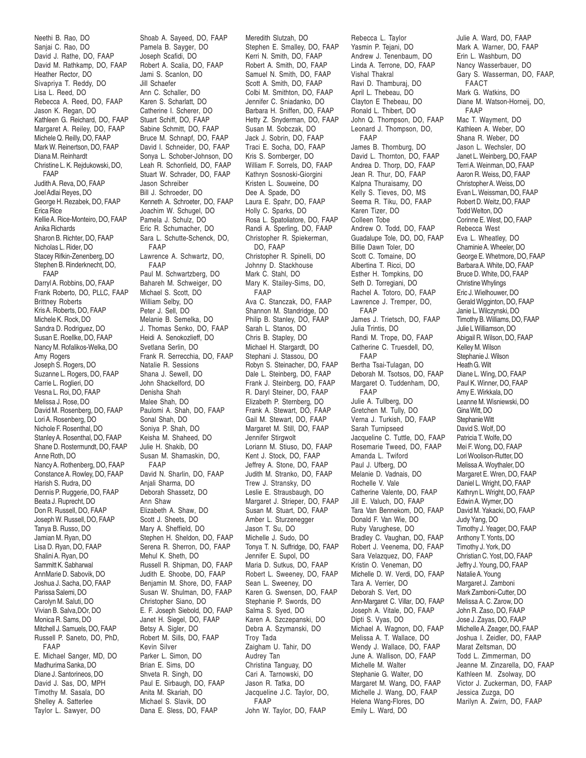Neethi B. Rao, DO Sanjai C. Rao, DO David J. Rathe, DO, FAAP David M. Rathkamp, DO, FAAP Heather Rector, DO Sivapriya T. Reddy, DO Lisa L. Reed, DO Rebecca A. Reed, DO, FAAP Jason K. Regan, DO Kathleen G. Reichard, DO, FAAP Margaret A. Reiley, DO, FAAP Michele Q. Reilly, DO, FAAP Mark W. Reinertson, DO, FAAP Diana M. Reinhardt Christine L. K. Rejdukowski, DO, FAAP Judith A. Reva, DO, FAAP Joel Adlai Reyes, DO George H. Rezabek, DO, FAAP Erica Rice Kellie A. Rice-Monteiro, DO, FAAP Anika Richards Sharon B. Richter, DO, FAAP Nicholas L. Rider, DO Stacey Rifkin-Zenenberg, DO Stephen B. Rinderknecht, DO, FAAP Darryl A. Robbins, DO, FAAP Frank Roberto, DO, PLLC, FAAP Brittney Roberts Kris A. Roberts, DO, FAAP Michele K. Rock, DO Sandra D. Rodriguez, DO Susan E. Roellke, DO, FAAP Nancy M. Rofalikos-Welka, DO Amy Rogers Joseph S. Rogers, DO Suzanne L. Rogers, DO, FAAP Carrie L. Roglieri, DO Vesna L. Roi, DO, FAAP Melissa J. Rose, DO David M. Rosenberg, DO, FAAP Lori A. Rosenberg, DO Nichole F. Rosenthal, DO Stanley A. Rosenthal, DO, FAAP Shane D. Rostermundt, DO, FAAP Anne Roth, DO Nancy A. Rothenberg, DO, FAAP Constance A. Rowley, DO, FAAP Harish S. Rudra, DO Dennis P. Ruggerie, DO, FAAP Beata J. Ruprecht, DO Don R. Russell, DO, FAAP Joseph W. Russell, DO, FAAP Tanya B. Russo, DO Jamian M. Ryan, DO Lisa D. Ryan, DO, FAAP Shalini A. Ryan, DO Sammitt K. Sabharwal AnnMarie D. Sabovik, DO Joshua J. Sacha, DO, FAAP Parissa Salemi, DO Carolyn M. Saluti, DO Vivian B. Salva,DOr, DO Monica R. Sams, DO Mitchell J. Samuels, DO, FAAP Russell P. Saneto, DO, PhD, FAAP E. Michael Sanger, MD, DO Madhurima Sanka, DO Diane J. Santorineos, DO David J. Sas, DO, MPH Timothy M. Sasala, DO Shelley A. Satterlee Taylor L. Sawyer, DO

Shoab A. Sayeed, DO, FAAP Pamela B. Sayger, DO Joseph Scafidi, DO Robert A. Scalia, DO, FAAP Jami S. Scanlon, DO Jill Schaefer Ann C. Schaller, DO Karen S. Scharlatt, DO Catherine I. Scherer, DO Stuart Schiff, DO, FAAP Sabine Schmitt, DO, FAAP Bruce M. Schnapf, DO, FAAP David I. Schneider, DO, FAAP Sonya L. Schober-Johnson, DO Leah R. Schonfield, DO, FAAP Stuart W. Schrader, DO, FAAP Jason Schreiber Bill J. Schroeder, DO Kenneth A. Schroeter, DO, FAAP Joachim W. Schugel, DO Pamela J. Schulz, DO Eric R. Schumacher, DO Sara L. Schutte-Schenck, DO, FAAP Lawrence A. Schwartz, DO, FAAP Paul M. Schwartzberg, DO Bahareh M. Schweiger, DO Michael S. Scott, DO William Selby, DO Peter J. Sell, DO Melanie B. Semelka, DO J. Thomas Senko, DO, FAAP Heidi A. Senokozlieff, DO Svetlana Serlin, DO Frank R. Serrecchia, DO, FAAP Natalie R. Sessions Shana J. Sewell, DO John Shackelford, DO Denisha Shah Malee Shah, DO Paulomi A. Shah, DO, FAAP Sonal Shah, DO Soniya P. Shah, DO Keisha M. Shaheed, DO Julie H. Shakib, DO Susan M. Shamaskin, DO, FAAP David N. Sharlin, DO, FAAP Anjali Sharma, DO Deborah Shassetz, DO Ann Shaw Elizabeth A. Shaw, DO Scott J. Sheets, DO Mary A. Sheffield, DO Stephen H. Sheldon, DO, FAAP Serena R. Sherron, DO, FAAP Mehul K. Sheth, DO Russell R. Shipman, DO, FAAP Judith E. Shoobe, DO, FAAP Benjamin M. Shore, DO, FAAP Susan W. Shulman, DO, FAAP Christopher Siano, DO E. F. Joseph Siebold, DO, FAAP Janet H. Siegel, DO, FAAP Betsy A. Sigler, DO Robert M. Sills, DO, FAAP Kevin Silver Parker L. Simon, DO Brian E. Sims, DO Shveta R. Singh, DO Paul E. Sirbaugh, DO, FAAP Anita M. Skariah, DO Michael S. Slavik, DO Dana E. Sless, DO, FAAP

Meredith Slutzah, DO Stephen E. Smalley, DO, FAAP Kerri N. Smith, DO, FAAP Robert A. Smith, DO, FAAP Samuel N. Smith, DO, FAAP Scott A. Smith, DO, FAAP Colbi M. Smithton, DO, FAAP Jennifer C. Sniadanko, DO Barbara H. Sniffen, DO, FAAP Hetty Z. Snyderman, DO, FAAP Susan M. Sobczak, DO Jack J. Sobrin, DO, FAAP Traci E. Socha, DO, FAAP Kris S. Sornberger, DO William F. Sorrels, DO, FAAP Kathryn Sosnoski-Giorgini Kristen L. Souweine, DO Dee A. Spade, DO Laura E. Spahr, DO, FAAP Holly C. Sparks, DO Rosa L. Spatoliatore, DO, FAAP Randi A. Sperling, DO, FAAP Christopher R. Spiekerman, DO, FAAP Christopher R. Spinelli, DO Johnny D. Stackhouse Mark C. Stahl, DO Mary K. Stailey-Sims, DO, FAAP Ava C. Stanczak, DO, FAAP Shannon M. Standridge, DO Philip B. Stanley, DO, FAAP Sarah L. Stanos, DO Chris B. Stapley, DO Michael H. Stargardt, DO Stephani J. Stassou, DO Robyn S. Steinacher, DO, FAAP Dale L. Steinberg, DO, FAAP Frank J. Steinberg, DO, FAAP R. Daryl Steiner, DO, FAAP Elizabeth P. Sternberg, DO Frank A. Stewart, DO, FAAP Gail M. Stewart, DO, FAAP Margaret M. Still, DO, FAAP Jennifer Stirgwolt Loriann M. Stiuso, DO, FAAP Kent J. Stock, DO, FAAP Jeffrey A. Stone, DO, FAAP Judith M. Stranko, DO, FAAP Trew J. Stransky, DO Leslie E. Strausbaugh, DO Margaret J. Strieper, DO, FAAP Susan M. Stuart, DO, FAAP Amber L. Sturzenegger Jason T. Su, DO Michelle J. Sudo, DO Tonya T. N. Suffridge, DO, FAAP Jennifer E. Supol, DO Maria D. Sutkus, DO, FAAP Robert L. Sweeney, DO, FAAP Sean L. Sweeney, DO Karen G. Swensen, DO, FAAP Stephanie P. Swords, DO Salma S. Syed, DO Karen A. Szczepanski, DO Debra A. Szymanski, DO Troy Tada Zaigham U. Tahir, DO Audrey Tan Christina Tanguay, DO Cari A. Tarnowski, DO Jason R. Tatka, DO Jacqueline J.C. Taylor, DO, FAAP John W. Taylor, DO, FAAP

Rebecca L. Taylor Yasmin P. Tejani, DO Andrew J. Tenenbaum, DO Linda A. Terrone, DO, FAAP Vishal Thakral Ravi D. Thamburaj, DO April L. Thebeau, DO Clayton E Thebeau, DO Ronald L. Thibert, DO John Q. Thompson, DO, FAAP Leonard J. Thompson, DO, FAAP James B. Thornburg, DO David L. Thornton, DO, FAAP Andrea D. Thorp, DO, FAAP Jean R. Thur, DO, FAAP Kalpna Thuraisamy, DO Kelly S. Tieves, DO, MS Seema R. Tiku, DO, FAAP Karen Tizer, DO Colleen Tobe Andrew O. Todd, DO, FAAP Guadalupe Tole, DO, DO, FAAP Billie Dawn Toler, DO Scott C. Tomaine, DO Albertina T. Ricci, DO Esther H. Tompkins, DO Seth D. Torregiani, DO Rachel A. Totoro, DO, FAAP Lawrence J. Tremper, DO, FAAP James J. Trietsch, DO, FAAP Julia Trintis, DO Randi M. Trope, DO, FAAP Catherine C. Truesdell, DO, FAAP Bertha Tsai-Tulagan, DO Deborah M. Tsotsos, DO, FAAP Margaret O. Tuddenham, DO, FAAP Julie A. Tullberg, DO Gretchen M. Tully, DO Verna J. Turkish, DO, FAAP Sarah Turnipseed Jacqueline C. Tuttle, DO, FAAP Rosemarie Tweed, DO, FAAP Amanda L. Twiford Paul J. Ufberg, DO Melanie D. Vadnais, DO Rochelle V. Vale Catherine Valente, DO, FAAP Jill E. Valuch, DO, FAAP Tara Van Bennekom, DO, FAAP Donald F. Van Wie, DO Ruby Varughese, DO Bradley C. Vaughan, DO, FAAP Robert J. Veenema, DO, FAAP Sara Velazquez, DO, FAAP Kristin O. Veneman, DO Michelle D. W. Verdi, DO, FAAP Tara A. Verrier, DO Deborah S. Vert, DO Ann-Margaret C. Villar, DO, FAAP Joseph A. Vitale, DO, FAAP Dipti S. Vyas, DO Michael A. Wagnon, DO, FAAP Melissa A. T. Wallace, DO Wendy J. Wallace, DO, FAAP June A. Wallison, DO, FAAP Michelle M. Walter Stephanie G. Walter, DO Margaret M. Wang, DO, FAAP Michelle J. Wang, DO, FAAP Helena Wang-Flores, DO Emily L. Ward, DO

Julie A. Ward, DO, FAAP Mark A. Warner, DO, FAAP Erin L. Washburn, DO Nancy Wasserbauer, DO Gary S. Wasserman, DO, FAAP, FAACT Mark G. Watkins, DO Diane M. Watson-Horneij, DO, FAAP Mac T. Wayment, DO Kathleen A. Weber, DO Shana R. Weber, DO Jason L. Wechsler, DO Janet L. Weinberg, DO, FAAP Terri A. Weinman, DO, FAAP Aaron R. Weiss, DO, FAAP Christopher A. Weiss, DO Evan L. Weissman, DO, FAAP Robert D. Weitz, DO, FAAP Todd Welton, DO Corinne E. West, DO, FAAP Rebecca West Eva L. Wheatley, DO Chaminie A. Wheeler, DO George E. Whetmore, DO, FAAP Barbara A. White, DO, FAAP Bruce D. White, DO, FAAP Christine Whylings Eric J. Wielhouwer, DO Gerald Wigginton, DO, FAAP Janie L. Wilczynski, DO Timothy B. Williams, DO, FAAP Julie L Williamson, DO Abigail R. Wilson, DO, FAAP Kelley M. Wilson Stephanie J. Wilson Heath G. Wilt Diane L. Wing, DO, FAAP Paul K. Winner, DO, FAAP Amy E. Wirkkala, DO Leanne M. Wisniewski, DO Gina Witt, DO Stephanie Witt David S. Wolf, DO Patricia T. Wolfe, DO Mei F. Wong, DO, FAAP Lori Woolison-Rutter, DO Melissa A. Woythaler, DO Margaret E. Wren, DO, FAAP Daniel L. Wright, DO, FAAP Kathryn L. Wright, DO, FAAP Edwin A. Wymer, DO David M. Yakacki, DO, FAAP Judy Yang, DO Timothy J. Yeager, DO, FAAP Anthony T. Yonts, DO Timothy J. York, DO Christian C. Yost, DO, FAAP Jeffry J. Young, DO, FAAP Natalie A. Young Margaret J. Zamboni Mark Zamboni-Cutter, DO Melissa A. C. Zarow, DO John R. Zaso, DO, FAAP Jose J. Zayas, DO, FAAP Michelle A. Zeager, DO, FAAP Joshua I. Zeidler, DO, FAAP Marat Zeltsman, DO Todd L. Zimmerman, DO Jeanne M. Zinzarella, DO, FAAP Kathleen M. Zsolway, DO Victor J. Zuckerman, DO, FAAP Jessica Zuzga, DO Marilyn A. Zwirn, DO, FAAP